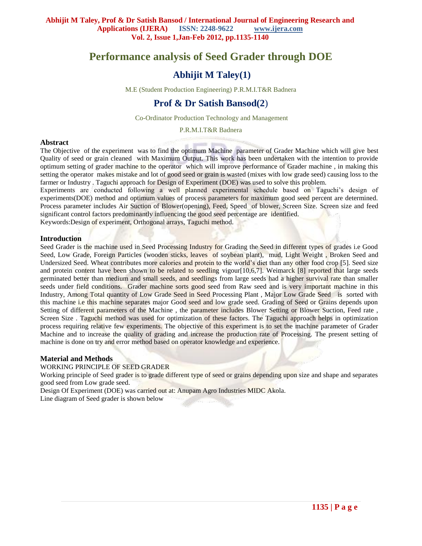# **Performance analysis of Seed Grader through DOE**

# **Abhijit M Taley(1)**

M.E (Student Production Engineering) P.R.M.I.T&R Badnera

# **Prof & Dr Satish Bansod(2**)

Co-Ordinator Production Technology and Management

P.R.M.I.T&R Badnera

## **Abstract**

The Objective of the experiment was to find the optimum Machine parameter of Grader Machine which will give best Quality of seed or grain cleaned with Maximum Output. This work has been undertaken with the intention to provide optimum setting of grader machine to the operator which will improve performance of Grader machine , in making this setting the operator makes mistake and lot of good seed or grain is wasted (mixes with low grade seed) causing loss to the farmer or Industry . Taguchi approach for Design of Experiment (DOE) was used to solve this problem.

Experiments are conducted following a well planned experimental schedule based on Taguchi's design of experiments(DOE) method and optimum values of process parameters for maximum good seed percent are determined. Process parameter includes Air Suction of Blower(opening), Feed, Speed of blower, Screen Size. Screen size and feed significant control factors predominantly influencing the good seed percentage are identified.

Keywords:Design of experiment, Orthogonal arrays, Taguchi method.

## **Introduction**

Seed Grader is the machine used in Seed Processing Industry for Grading the Seed in different types of grades i.e Good Seed, Low Grade, Foreign Particles (wooden sticks, leaves of soybean plant), mud, Light Weight , Broken Seed and Undersized Seed. Wheat contributes more calories and protein to the world's diet than any other food crop [5]. Seed size and protein content have been shown to be related to seedling vigour[10,6,7]. Weimarck [8] reported that large seeds germinated better than medium and small seeds, and seedlings from large seeds had a higher survival rate than smaller seeds under field conditions. Grader machine sorts good seed from Raw seed and is very important machine in this Industry, Among Total quantity of Low Grade Seed in Seed Processing Plant , Major Low Grade Seed is sorted with this machine i.e this machine separates major Good seed and low grade seed. Grading of Seed or Grains depends upon Setting of different parameters of the Machine , the parameter includes Blower Setting or Blower Suction, Feed rate , Screen Size . Taguchi method was used for optimization of these factors. The Taguchi approach helps in optimization process requiring relative few experiments. The objective of this experiment is to set the machine parameter of Grader Machine and to increase the quality of grading and increase the production rate of Processing. The present setting of machine is done on try and error method based on operator knowledge and experience.

# **Material and Methods**

WORKING PRINCIPLE OF SEED GRADER

Working principle of Seed grader is to grade different type of seed or grains depending upon size and shape and separates good seed from Low grade seed.

Design Of Experiment (DOE) was carried out at: Anupam Agro Industries MIDC Akola.

Line diagram of Seed grader is shown below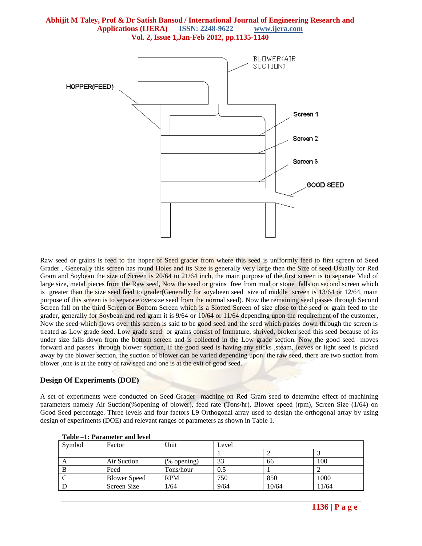

Raw seed or grains is feed to the hoper of Seed grader from where this seed is uniformly feed to first screen of Seed Grader , Generally this screen has round Holes and its Size is generally very large then the Size of seed Usually for Red Gram and Soybean the size of Screen is 20/64 to 21/64 inch, the main purpose of the first screen is to separate Mud of large size, metal pieces from the Raw seed, Now the seed or grains free from mud or stone falls on second screen which is greater than the size seed feed to grader(Generally for soyabeen seed size of middle screen is 13/64 or 12/64, main purpose of this screen is to separate oversize seed from the normal seed). Now the remaining seed passes through Second Screen fall on the third Screen or Bottom Screen which is a Slotted Screen of size close to the seed or grain feed to the grader, generally for Soybean and red gram it is 9/64 or 10/64 or 11/64 depending upon the requirement of the customer, Now the seed which flows over this screen is said to be good seed and the seed which passes down through the screen is treated as Low grade seed. Low grade seed or grains consist of Immature, shrived, broken seed this seed because of its under size falls down from the bottom screen and is collected in the Low grade section. Now the good seed moves forward and passes through blower suction, if the good seed is having any sticks ,steam, leaves or light seed is picked away by the blower section, the suction of blower can be varied depending upon the raw seed, there are two suction from blower ,one is at the entry of raw seed and one is at the exit of good seed.

#### **Design Of Experiments (DOE)**

A set of experiments were conducted on Seed Grader machine on Red Gram seed to determine effect of machining parameters namely Air Suction(%opening of blower), feed rate (Tons/hr), Blower speed (rpm), Screen Size (1/64) on Good Seed percentage. Three levels and four factors L9 Orthogonal array used to design the orthogonal array by using design of experiments (DOE) and relevant ranges of parameters as shown in Table 1.

| Symbol | Factor       | Unit           | Level |       |       |  |
|--------|--------------|----------------|-------|-------|-------|--|
|        |              |                |       |       |       |  |
|        | Air Suction  | $(\%$ opening) | 33    | 66    | 100   |  |
|        | Feed         | Tons/hour      | 0.5   |       |       |  |
|        | Blower Speed | <b>RPM</b>     | 750   | 850   | 1000  |  |
|        | Screen Size  | 1/64           | 9/64  | 10/64 | 11/64 |  |

**Table –1: Parameter and level**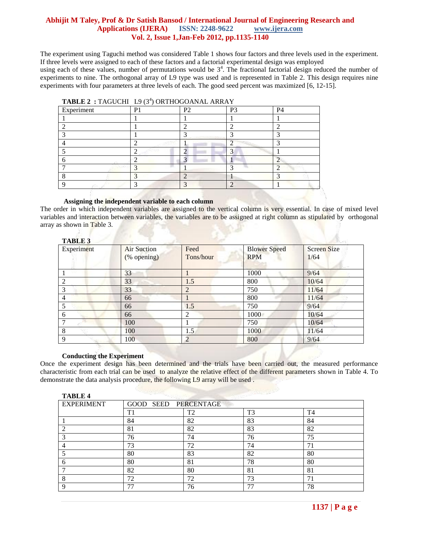The experiment using Taguchi method was considered Table 1 shows four factors and three levels used in the experiment. If three levels were assigned to each of these factors and a factorial experimental design was employed using each of these values, number of permutations would be  $3<sup>4</sup>$ . The fractional factorial design reduced the number of experiments to nine. The orthogonal array of L9 type was used and is represented in Table 2. This design requires nine experiments with four parameters at three levels of each. The good seed percent was maximized [6, 12-15].

| Experiment | P <sub>1</sub> | P <sub>2</sub> | P <sub>3</sub> | P <sub>4</sub> |
|------------|----------------|----------------|----------------|----------------|
|            |                |                |                |                |
|            |                |                |                |                |
|            |                |                |                | ⌒              |
|            |                |                |                |                |
|            | ∸              |                |                |                |
|            |                |                |                |                |
|            |                |                |                |                |
|            |                |                |                |                |
|            |                |                |                |                |

#### **TABLE 2 : TAGUCHI L9 (3<sup>4</sup>) ORTHOGOANAL ARRAY**

#### **Assigning the independent variable to each column**

The order in which independent variables are assigned to the vertical column is very essential. In case of mixed level variables and interaction between variables, the variables are to be assigned at right column as stipulated by orthogonal array as shown in Table 3.

#### **TABLE 3**

**TABLE 4** 

| Experiment | <b>Air Suction</b><br>(% opening) | Feed<br>Tons/hour | <b>Blower Speed</b><br><b>RPM</b> | <b>Screen Size</b><br>1/64 |
|------------|-----------------------------------|-------------------|-----------------------------------|----------------------------|
|            | 33                                |                   | 1000                              | 9/64                       |
| 2          | 33                                | 1.5               | 800                               | 10/64                      |
| 3          | 33                                | $\overline{2}$    | 750                               | 11/64                      |
| 4          | 66                                |                   | 800                               | 11/64                      |
|            | 66                                | 1.5               | 750                               | 9/64                       |
| 6          | 66                                | $\overline{2}$    | 1000                              | 10/64                      |
| 7          | 100                               |                   | 750                               | 10/64                      |
| 8          | 100                               | 1.5               | 1000                              | 11/64                      |
| 9          | 100                               | 2                 | 800                               | 9/64                       |

#### **Conducting the Experiment**

Once the experiment design has been determined and the trials have been carried out, the measured performance characteristic from each trial can be used to analyze the relative effect of the different parameters shown in Table 4. To demonstrate the data analysis procedure, the following L9 array will be used .

| TABLE 4           |                      |                |                |                |
|-------------------|----------------------|----------------|----------------|----------------|
| <b>EXPERIMENT</b> | GOOD SEED PERCENTAGE |                |                |                |
|                   | T1                   | T <sub>2</sub> | T <sub>3</sub> | T <sub>4</sub> |
|                   | 84                   | 82             | 83             | 84             |
|                   | 81                   | 82             | 83             | 82             |
|                   | 76                   | 74             | 76             | 75             |
|                   | 73                   | 72             | 74             | 7 <sup>1</sup> |
|                   | 80                   | 83             | 82             | 80             |
|                   | 80                   | 81             | 78             | 80             |
|                   | 82                   | 80             | 81             | 81             |
|                   | 72                   | 72             | 73             | 7 <sup>i</sup> |
|                   | 77                   | 76             | 77             | 78             |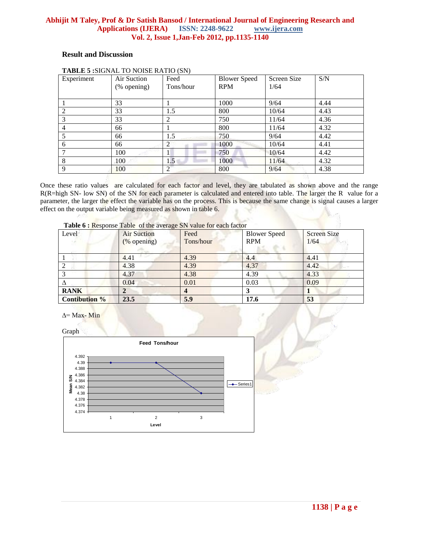# **Result and Discussion**

| Experiment     | Air Suction | Feed      | <b>Blower Speed</b> | Screen Size | S/N  |
|----------------|-------------|-----------|---------------------|-------------|------|
|                | (% opening) | Tons/hour | <b>RPM</b>          | 1/64        |      |
|                |             |           |                     |             |      |
|                | 33          |           | 1000                | 9/64        | 4.44 |
| 2              | 33          | 1.5       | 800                 | 10/64       | 4.43 |
| 3              | 33          | 2         | 750                 | 11/64       | 4.36 |
| $\overline{4}$ | 66          |           | 800                 | 11/64       | 4.32 |
| 5              | 66          | 1.5       | 750                 | 9/64        | 4.42 |
| 6              | 66          | 2         | 1000                | 10/64       | 4.41 |
|                | 100         |           | 750                 | 10/64       | 4.42 |
| 8              | 100         | 1.5       | 1000                | 11/64       | 4.32 |
| 9              | 100         | 2         | 800                 | 9/64        | 4.38 |

# **TABLE 5 :**SIGNAL TO NOISE RATIO (SN)

Once these ratio values are calculated for each factor and level, they are tabulated as shown above and the range R(R=high SN- low SN) of the SN for each parameter is calculated and entered into table. The larger the R value for a parameter, the larger the effect the variable has on the process. This is because the same change is signal causes a larger effect on the output variable being measured as shown in table 6.

| Level                | <b>Air Suction</b><br>(% opening) | Feed<br>Tons/hour | <b>Blower Speed</b><br><b>RPM</b> | <b>Screen Size</b><br>1/64 |
|----------------------|-----------------------------------|-------------------|-----------------------------------|----------------------------|
|                      | 4.41                              | 4.39              | 4.4                               | 4.41                       |
| 2                    | 4.38                              | 4.39              | 4.37                              | 4.42                       |
|                      | 4.37                              | 4.38              | 4.39                              | 4.33                       |
|                      | 0.04                              | 0.01              | 0.03                              | 0.09                       |
| <b>RANK</b>          |                                   |                   |                                   |                            |
| <b>Contibution %</b> | 23.5                              | 5.9               | 17.6                              | 53                         |

|  |  | Table 6 : Response Table of the average SN value for each factor |  |  |  |  |  |  |  |  |
|--|--|------------------------------------------------------------------|--|--|--|--|--|--|--|--|
|--|--|------------------------------------------------------------------|--|--|--|--|--|--|--|--|

∆= Max- Min

Graph

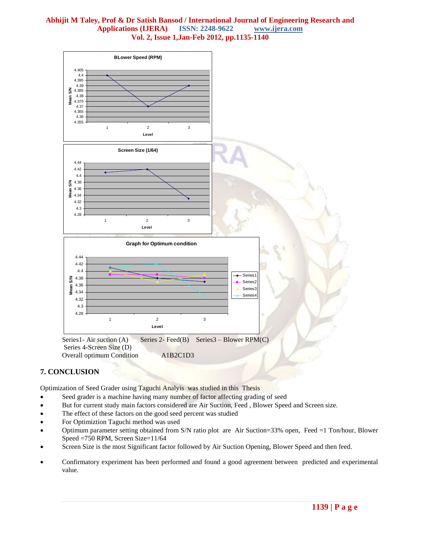

# **7. CONCLUSION**

Optimization of Seed Grader using Taguchi Analyis was studied in this Thesis

- Seed grader is a machine having many number of factor affecting grading of seed
- But for current study main factors considered are Air Suction, Feed , Blower Speed and Screen size.
- The effect of these factors on the good seed percent was studied
- For Optimiztion Taguchi method was used
- Optimum parameter setting obtained from S/N ratio plot are Air Suction=33% open, Feed =1 Ton/hour, Blower Speed =750 RPM, Screen Size=11/64
- Screen Size is the most Significant factor followed by Air Suction Opening, Blower Speed and then feed.
- Confirmatory experiment has been performed and found a good agreement between predicted and experimental value.